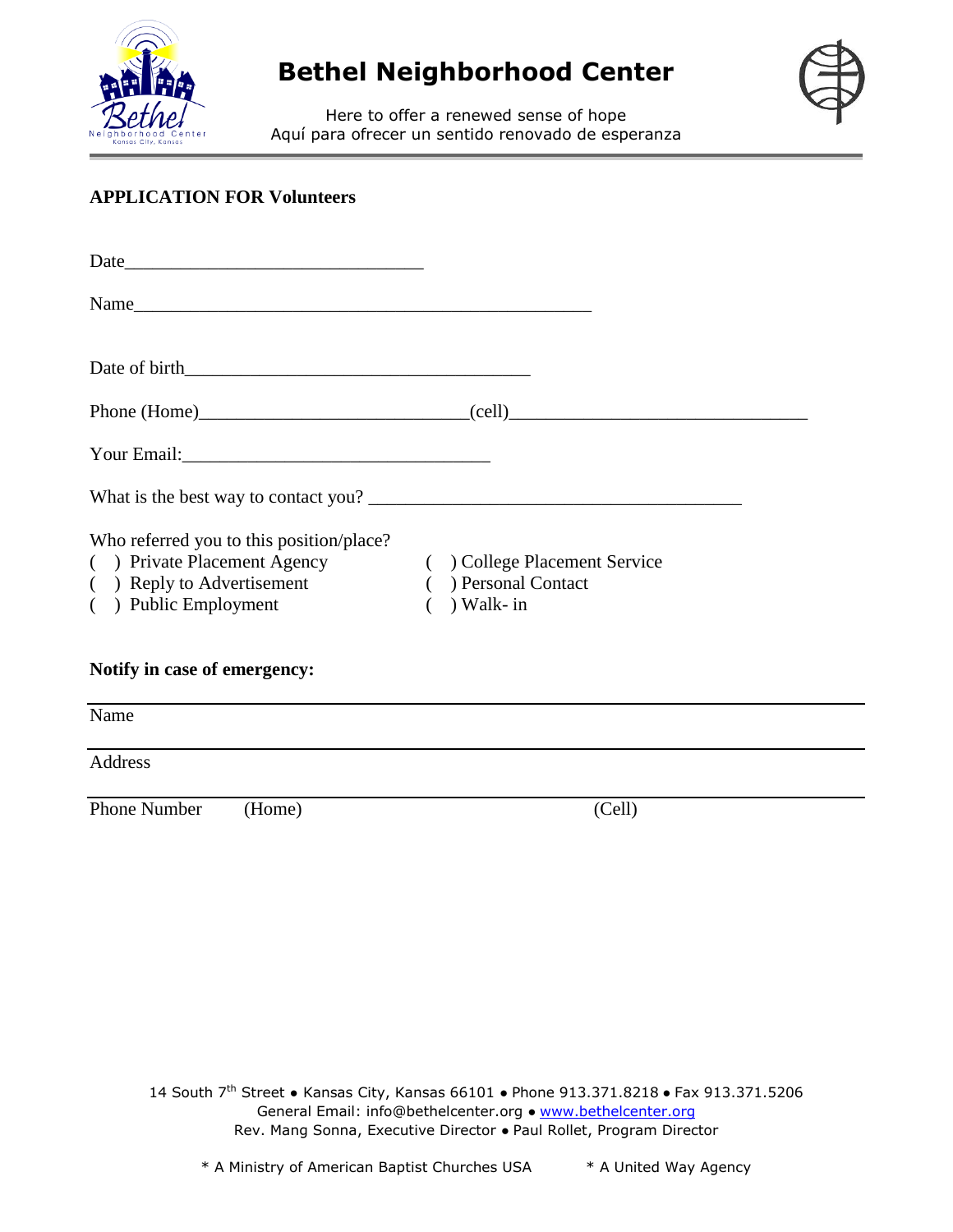



Here to offer a renewed sense of hope Aquí para ofrecer un sentido renovado de esperanza

#### **APPLICATION FOR Volunteers**

| Who referred you to this position/place?<br>( ) Private Placement Agency<br>( ) Reply to Advertisement<br>( ) Public Employment | ( ) College Placement Service<br>) Personal Contact<br>) Walk- in |  |
|---------------------------------------------------------------------------------------------------------------------------------|-------------------------------------------------------------------|--|
| Notify in case of emergency:                                                                                                    |                                                                   |  |
| Name                                                                                                                            |                                                                   |  |
| <b>Address</b>                                                                                                                  |                                                                   |  |
| Phone Number<br>(Home)                                                                                                          | (Cell)                                                            |  |

14 South 7<sup>th</sup> Street • Kansas City, Kansas 66101 • Phone 913.371.8218 • Fax 913.371.5206 General Email: info@bethelcenter.org ● www.bethelcenter.org Rev. Mang Sonna, Executive Director ● Paul Rollet, Program Director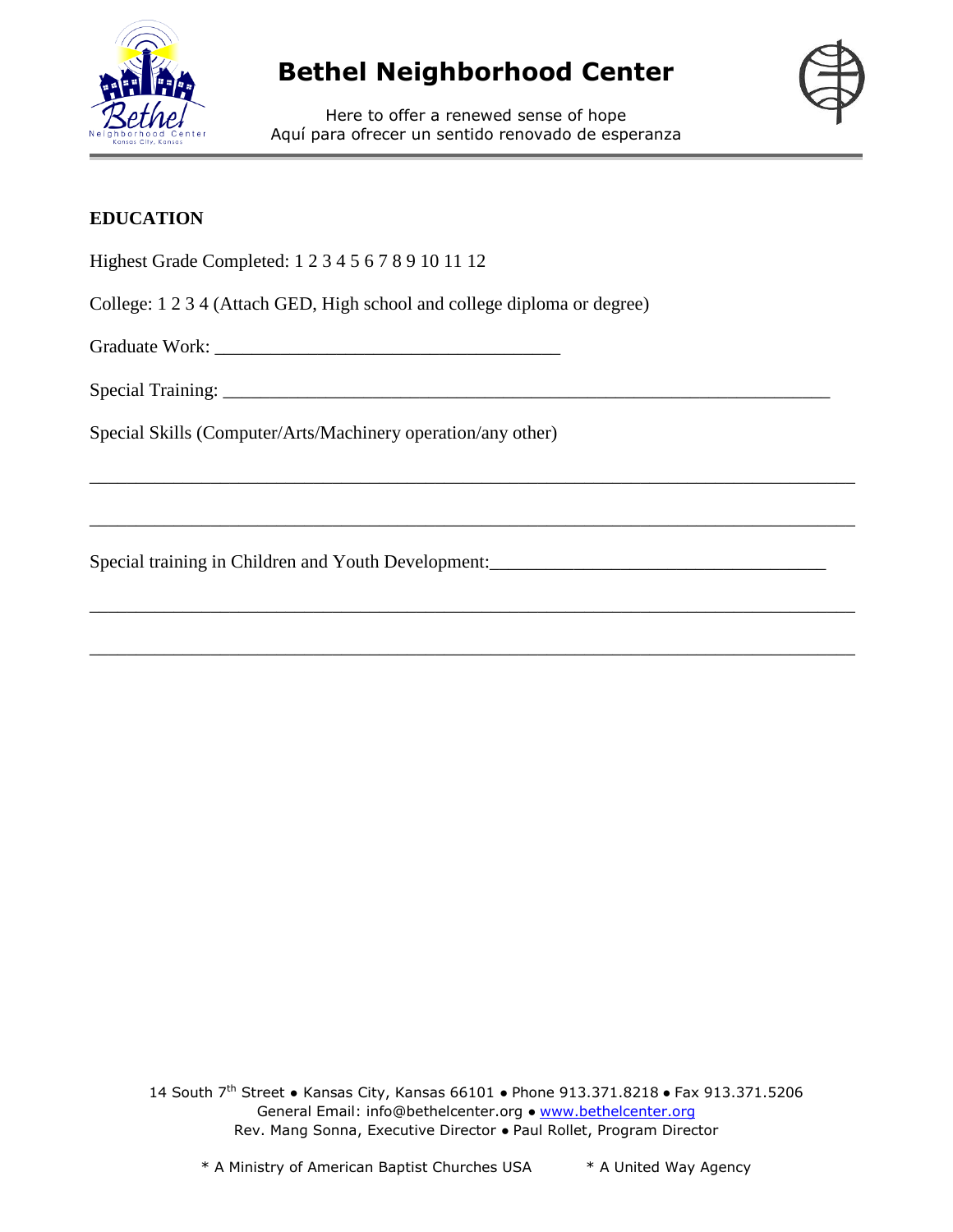



Here to offer a renewed sense of hope Aquí para ofrecer un sentido renovado de esperanza

\_\_\_\_\_\_\_\_\_\_\_\_\_\_\_\_\_\_\_\_\_\_\_\_\_\_\_\_\_\_\_\_\_\_\_\_\_\_\_\_\_\_\_\_\_\_\_\_\_\_\_\_\_\_\_\_\_\_\_\_\_\_\_\_\_\_\_\_\_\_\_\_\_\_\_\_\_\_\_\_\_\_

\_\_\_\_\_\_\_\_\_\_\_\_\_\_\_\_\_\_\_\_\_\_\_\_\_\_\_\_\_\_\_\_\_\_\_\_\_\_\_\_\_\_\_\_\_\_\_\_\_\_\_\_\_\_\_\_\_\_\_\_\_\_\_\_\_\_\_\_\_\_\_\_\_\_\_\_\_\_\_\_\_\_

\_\_\_\_\_\_\_\_\_\_\_\_\_\_\_\_\_\_\_\_\_\_\_\_\_\_\_\_\_\_\_\_\_\_\_\_\_\_\_\_\_\_\_\_\_\_\_\_\_\_\_\_\_\_\_\_\_\_\_\_\_\_\_\_\_\_\_\_\_\_\_\_\_\_\_\_\_\_\_\_\_\_

\_\_\_\_\_\_\_\_\_\_\_\_\_\_\_\_\_\_\_\_\_\_\_\_\_\_\_\_\_\_\_\_\_\_\_\_\_\_\_\_\_\_\_\_\_\_\_\_\_\_\_\_\_\_\_\_\_\_\_\_\_\_\_\_\_\_\_\_\_\_\_\_\_\_\_\_\_\_\_\_\_\_

### **EDUCATION**

Highest Grade Completed: 1 2 3 4 5 6 7 8 9 10 11 12

College: 1 2 3 4 (Attach GED, High school and college diploma or degree)

Graduate Work: \_\_\_\_\_\_\_\_\_\_\_\_\_\_\_\_\_\_\_\_\_\_\_\_\_\_\_\_\_\_\_\_\_\_\_\_\_

Special Training: \_\_\_\_\_\_\_\_\_\_\_\_\_\_\_\_\_\_\_\_\_\_\_\_\_\_\_\_\_\_\_\_\_\_\_\_\_\_\_\_\_\_\_\_\_\_\_\_\_\_\_\_\_\_\_\_\_\_\_\_\_\_\_\_\_

Special Skills (Computer/Arts/Machinery operation/any other)

Special training in Children and Youth Development:\_\_\_\_\_\_\_\_\_\_\_\_\_\_\_\_\_\_\_\_\_\_\_\_\_\_\_\_\_\_

14 South 7<sup>th</sup> Street • Kansas City, Kansas 66101 • Phone 913.371.8218 • Fax 913.371.5206 General Email: info@bethelcenter.org ● www.bethelcenter.org Rev. Mang Sonna, Executive Director ● Paul Rollet, Program Director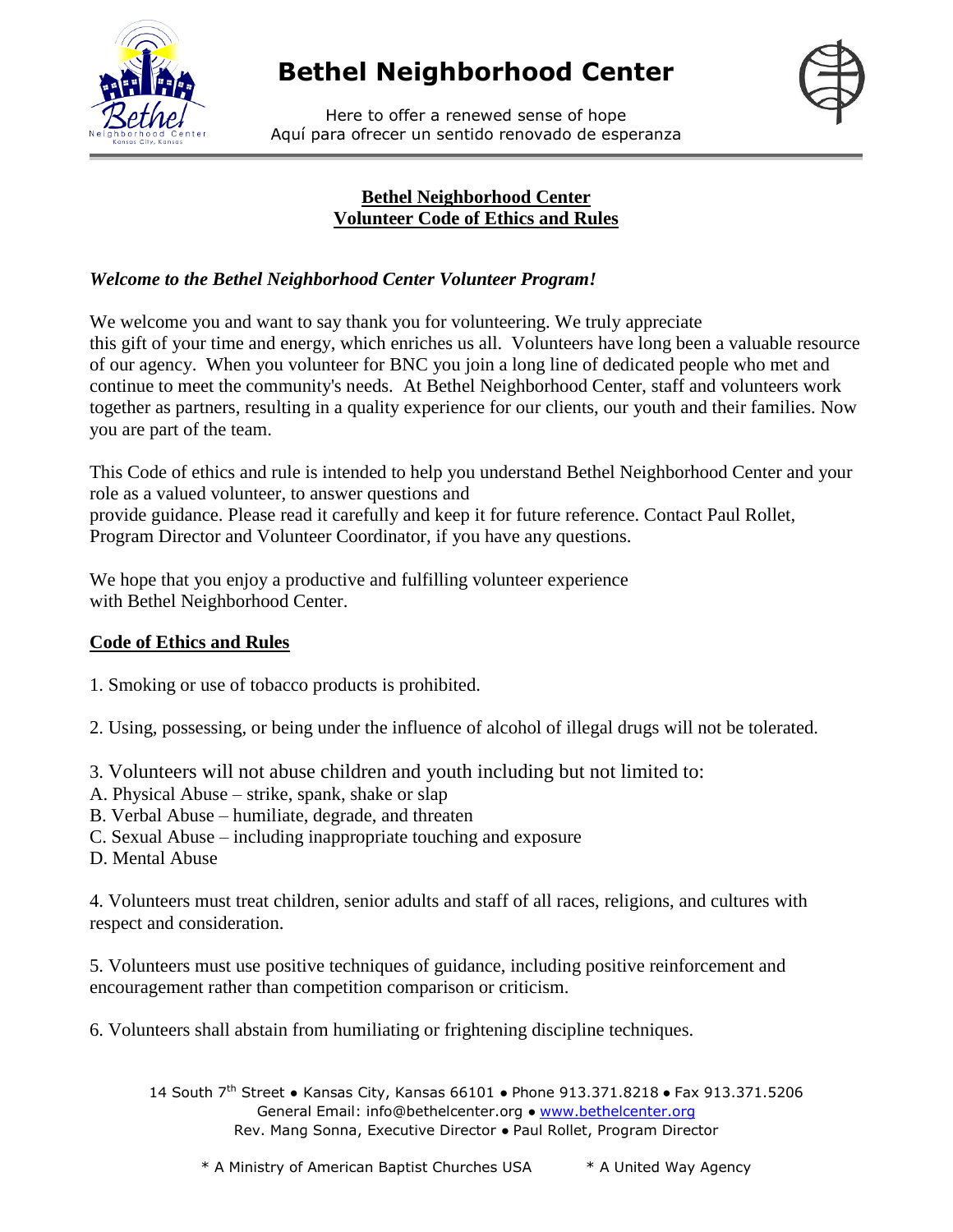





#### **Bethel Neighborhood Center Volunteer Code of Ethics and Rules**

### *Welcome to the Bethel Neighborhood Center Volunteer Program!*

We welcome you and want to say thank you for volunteering. We truly appreciate this gift of your time and energy, which enriches us all. Volunteers have long been a valuable resource of our agency. When you volunteer for BNC you join a long line of dedicated people who met and continue to meet the community's needs. At Bethel Neighborhood Center, staff and volunteers work together as partners, resulting in a quality experience for our clients, our youth and their families. Now you are part of the team.

This Code of ethics and rule is intended to help you understand Bethel Neighborhood Center and your role as a valued volunteer, to answer questions and provide guidance. Please read it carefully and keep it for future reference. Contact Paul Rollet, Program Director and Volunteer Coordinator, if you have any questions.

We hope that you enjoy a productive and fulfilling volunteer experience with Bethel Neighborhood Center.

### **Code of Ethics and Rules**

1. Smoking or use of tobacco products is prohibited.

2. Using, possessing, or being under the influence of alcohol of illegal drugs will not be tolerated.

- 3. Volunteers will not abuse children and youth including but not limited to:
- A. Physical Abuse strike, spank, shake or slap
- B. Verbal Abuse humiliate, degrade, and threaten
- C. Sexual Abuse including inappropriate touching and exposure
- D. Mental Abuse

4. Volunteers must treat children, senior adults and staff of all races, religions, and cultures with respect and consideration.

5. Volunteers must use positive techniques of guidance, including positive reinforcement and encouragement rather than competition comparison or criticism.

6. Volunteers shall abstain from humiliating or frightening discipline techniques.

14 South 7<sup>th</sup> Street • Kansas City, Kansas 66101 • Phone 913.371.8218 • Fax 913.371.5206 General Email: info@bethelcenter.org • www.bethelcenter.org Rev. Mang Sonna, Executive Director ● Paul Rollet, Program Director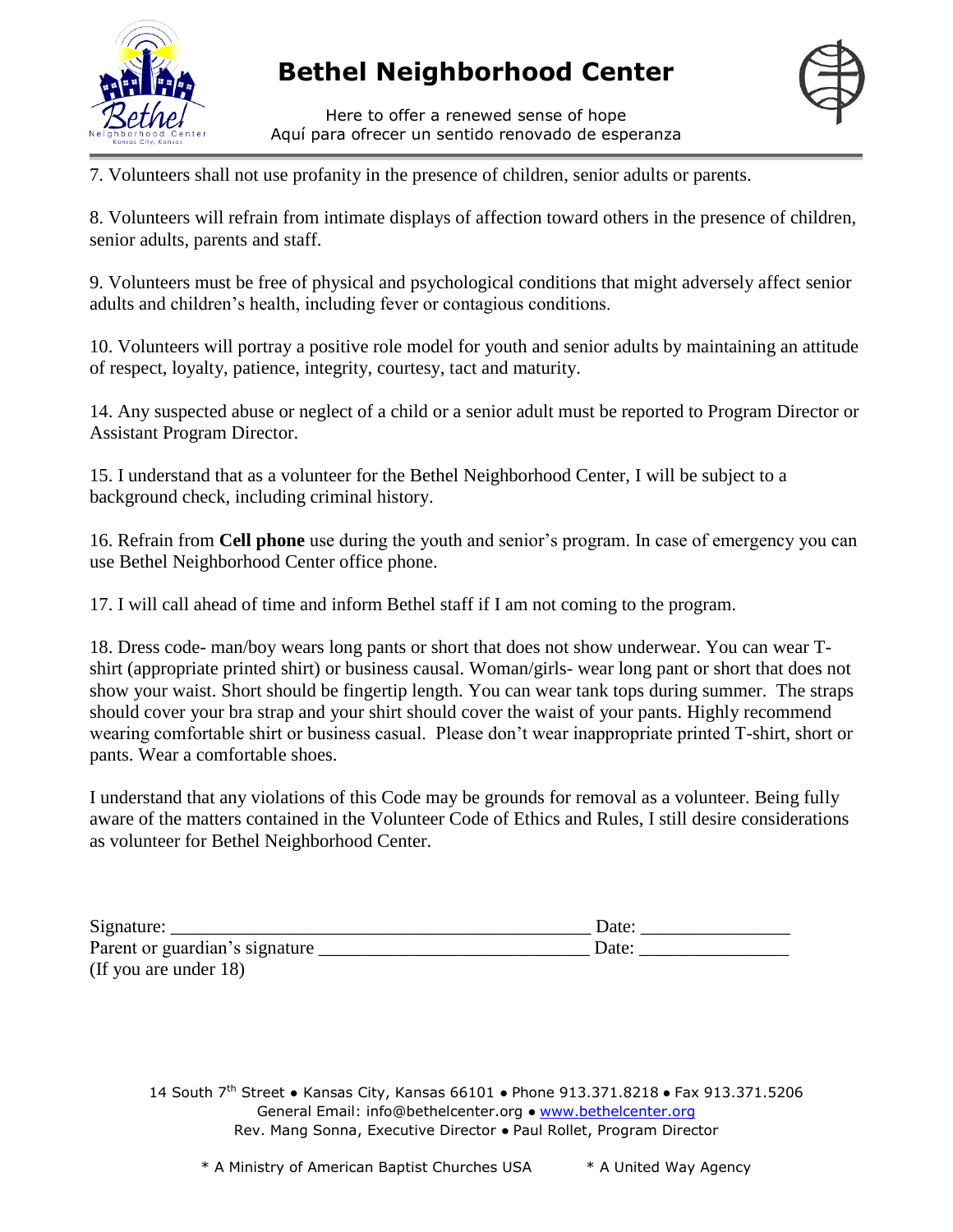

Here to offer a renewed sense of hope Aquí para ofrecer un sentido renovado de esperanza



7. Volunteers shall not use profanity in the presence of children, senior adults or parents.

8. Volunteers will refrain from intimate displays of affection toward others in the presence of children, senior adults, parents and staff.

9. Volunteers must be free of physical and psychological conditions that might adversely affect senior adults and children's health, including fever or contagious conditions.

10. Volunteers will portray a positive role model for youth and senior adults by maintaining an attitude of respect, loyalty, patience, integrity, courtesy, tact and maturity.

14. Any suspected abuse or neglect of a child or a senior adult must be reported to Program Director or Assistant Program Director.

15. I understand that as a volunteer for the Bethel Neighborhood Center, I will be subject to a background check, including criminal history.

16. Refrain from **Cell phone** use during the youth and senior's program. In case of emergency you can use Bethel Neighborhood Center office phone.

17. I will call ahead of time and inform Bethel staff if I am not coming to the program.

18. Dress code- man/boy wears long pants or short that does not show underwear. You can wear Tshirt (appropriate printed shirt) or business causal. Woman/girls- wear long pant or short that does not show your waist. Short should be fingertip length. You can wear tank tops during summer. The straps should cover your bra strap and your shirt should cover the waist of your pants. Highly recommend wearing comfortable shirt or business casual. Please don't wear inappropriate printed T-shirt, short or pants. Wear a comfortable shoes.

I understand that any violations of this Code may be grounds for removal as a volunteer. Being fully aware of the matters contained in the Volunteer Code of Ethics and Rules, I still desire considerations as volunteer for Bethel Neighborhood Center.

| Signature:                     | Date: |
|--------------------------------|-------|
| Parent or guardian's signature | Date: |
| (If you are under 18)          |       |

14 South 7<sup>th</sup> Street • Kansas City, Kansas 66101 • Phone 913.371.8218 • Fax 913.371.5206 General Email: info@bethelcenter.org • www.bethelcenter.org Rev. Mang Sonna, Executive Director ● Paul Rollet, Program Director